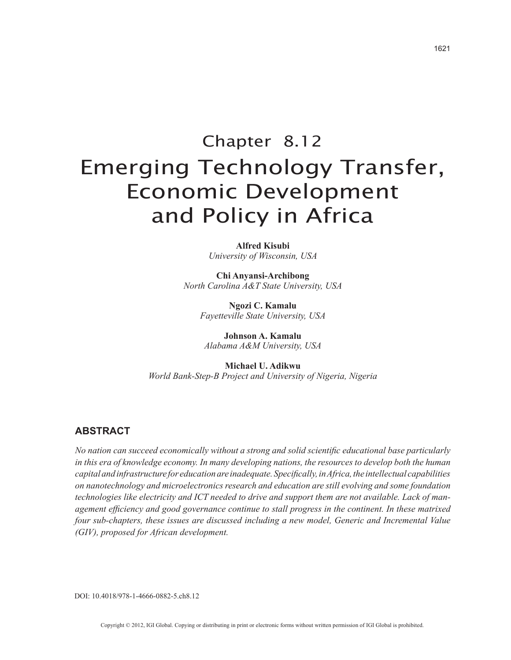# Chapter 8.12 Emerging Technology Transfer, Economic Development and Policy in Africa

**Alfred Kisubi** *University of Wisconsin, USA*

**Chi Anyansi-Archibong** *North Carolina A&T State University, USA*

> **Ngozi C. Kamalu** *Fayetteville State University, USA*

**Johnson A. Kamalu** *Alabama A&M University, USA*

**Michael U. Adikwu** *World Bank-Step-B Project and University of Nigeria, Nigeria*

# **ABSTRACT**

*No nation can succeed economically without a strong and solid scientific educational base particularly in this era of knowledge economy. In many developing nations, the resources to develop both the human capital and infrastructure for education are inadequate. Specifically, in Africa, the intellectual capabilities on nanotechnology and microelectronics research and education are still evolving and some foundation technologies like electricity and ICT needed to drive and support them are not available. Lack of management efficiency and good governance continue to stall progress in the continent. In these matrixed four sub-chapters, these issues are discussed including a new model, Generic and Incremental Value (GIV), proposed for African development.*

DOI: 10.4018/978-1-4666-0882-5.ch8.12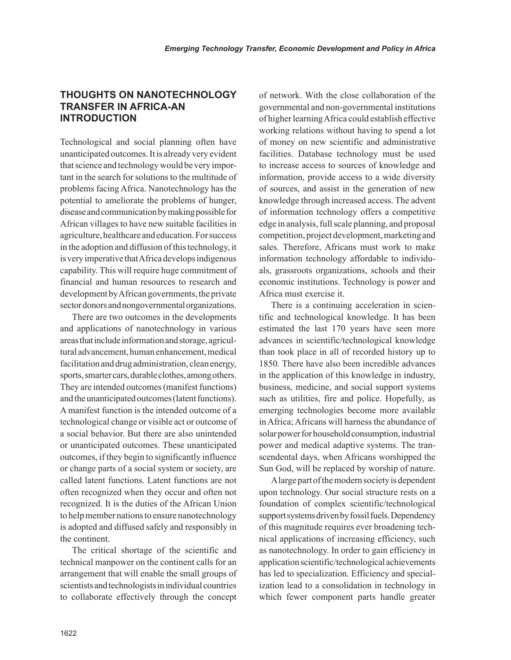# **THOUGHTS ON NANOTECHNOLOGY TRANSFER IN AFRICA-AN INTRODUCTION**

Technological and social planning often have unanticipated outcomes. It is already very evident that science and technology would be very important in the search for solutions to the multitude of problems facing Africa. Nanotechnology has the potential to ameliorate the problems of hunger, disease and communication by making possible for African villages to have new suitable facilities in agriculture, healthcare and education. For success in the adoption and diffusion of this technology, it is very imperative that Africa develops indigenous capability. This will require huge commitment of financial and human resources to research and development by African governments, the private sector donors and nongovernmental organizations.

There are two outcomes in the developments and applications of nanotechnology in various areas that include information and storage, agricultural advancement, human enhancement, medical facilitation and drug administration, clean energy, sports, smarter cars, durable clothes, among others. They are intended outcomes (manifest functions) and the unanticipated outcomes (latent functions). A manifest function is the intended outcome of a technological change or visible act or outcome of a social behavior. But there are also unintended or unanticipated outcomes. These unanticipated outcomes, if they begin to significantly influence or change parts of a social system or society, are called latent functions. Latent functions are not often recognized when they occur and often not recognized. It is the duties of the African Union to help member nations to ensure nanotechnology is adopted and diffused safely and responsibly in the continent.

The critical shortage of the scientific and technical manpower on the continent calls for an arrangement that will enable the small groups of scientists and technologists in individual countries to collaborate effectively through the concept of network. With the close collaboration of the governmental and non-governmental institutions of higher learning Africa could establish effective working relations without having to spend a lot of money on new scientific and administrative facilities. Database technology must be used to increase access to sources of knowledge and information, provide access to a wide diversity of sources, and assist in the generation of new knowledge through increased access. The advent of information technology offers a competitive edge in analysis, full scale planning, and proposal competition, project development, marketing and sales. Therefore, Africans must work to make information technology affordable to individuals, grassroots organizations, schools and their economic institutions. Technology is power and Africa must exercise it.

There is a continuing acceleration in scientific and technological knowledge. It has been estimated the last 170 years have seen more advances in scientific/technological knowledge than took place in all of recorded history up to 1850. There have also been incredible advances in the application of this knowledge in industry, business, medicine, and social support systems such as utilities, fire and police. Hopefully, as emerging technologies become more available in Africa; Africans will harness the abundance of solar power for household consumption, industrial power and medical adaptive systems. The transcendental days, when Africans worshipped the Sun God, will be replaced by worship of nature.

A large part of the modern society is dependent upon technology. Our social structure rests on a foundation of complex scientific/technological support systems driven by fossil fuels. Dependency of this magnitude requires ever broadening technical applications of increasing efficiency, such as nanotechnology. In order to gain efficiency in application scientific/technological achievements has led to specialization. Efficiency and specialization lead to a consolidation in technology in which fewer component parts handle greater